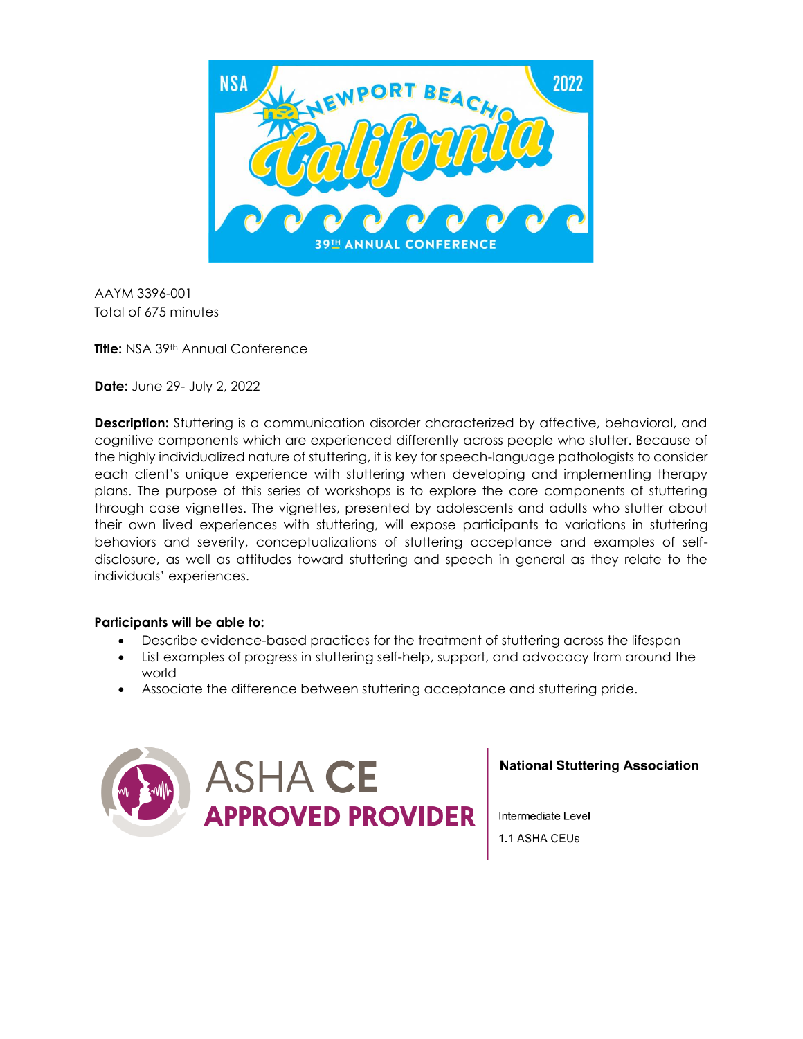

AAYM 3396-001 Total of 675 minutes

**Title: NSA 39th Annual Conference** 

**Date:** June 29- July 2, 2022

**Description:** Stuttering is a communication disorder characterized by affective, behavioral, and cognitive components which are experienced differently across people who stutter. Because of the highly individualized nature of stuttering, it is key for speech-language pathologists to consider each client's unique experience with stuttering when developing and implementing therapy plans. The purpose of this series of workshops is to explore the core components of stuttering through case vignettes. The vignettes, presented by adolescents and adults who stutter about their own lived experiences with stuttering, will expose participants to variations in stuttering behaviors and severity, conceptualizations of stuttering acceptance and examples of selfdisclosure, as well as attitudes toward stuttering and speech in general as they relate to the individuals' experiences.

#### **Participants will be able to:**

- Describe evidence-based practices for the treatment of stuttering across the lifespan
- List examples of progress in stuttering self-help, support, and advocacy from around the world
- Associate the difference between stuttering acceptance and stuttering pride.



**National Stuttering Association** 

Intermediate Level 1.1 ASHA CEUs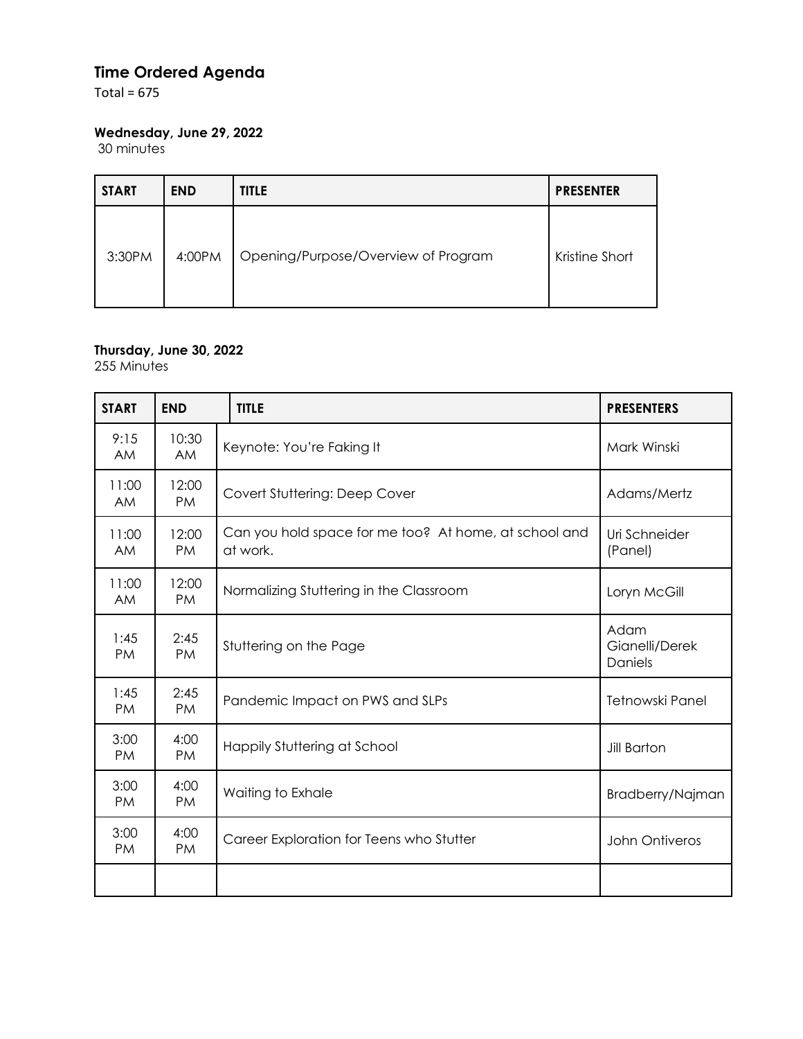## **Time Ordered Agenda**

Total =  $675$ 

## **Wednesday, June 29, 2022**

30 minutes

| <b>START</b> | <b>END</b> | <b>TITLE</b>                        | <b>PRESENTER</b> |
|--------------|------------|-------------------------------------|------------------|
| 3:30PM       | 4:00PM     | Opening/Purpose/Overview of Program | Kristine Short   |

#### **Thursday, June 30, 2022**

255 Minutes

| <b>START</b>       | <b>END</b>         | <b>TITLE</b>                                                      | <b>PRESENTERS</b>                 |
|--------------------|--------------------|-------------------------------------------------------------------|-----------------------------------|
| 9:15<br><b>AM</b>  | 10:30<br><b>AM</b> | Keynote: You're Faking It                                         | Mark Winski                       |
| 11:00<br><b>AM</b> | 12:00<br><b>PM</b> | Covert Stuttering: Deep Cover                                     | Adams/Mertz                       |
| 11:00<br><b>AM</b> | 12:00<br><b>PM</b> | Can you hold space for me too? At home, at school and<br>at work. | Uri Schneider<br>(Panel)          |
| 11:00<br><b>AM</b> | 12:00<br><b>PM</b> | Normalizing Stuttering in the Classroom                           | Loryn McGill                      |
| 1:45<br><b>PM</b>  | 2:45<br><b>PM</b>  | Stuttering on the Page                                            | Adam<br>Gianelli/Derek<br>Daniels |
| 1:45<br><b>PM</b>  | 2:45<br><b>PM</b>  | Pandemic Impact on PWS and SLPs                                   | Tetnowski Panel                   |
| 3:00<br><b>PM</b>  | 4:00<br>PM.        | Happily Stuttering at School                                      | <b>Jill Barton</b>                |
| 3:00<br><b>PM</b>  | 4:00<br><b>PM</b>  | Waiting to Exhale                                                 | Bradberry/Najman                  |
| 3:00<br><b>PM</b>  | 4:00<br>PM.        | Career Exploration for Teens who Stutter                          | John Ontiveros                    |
|                    |                    |                                                                   |                                   |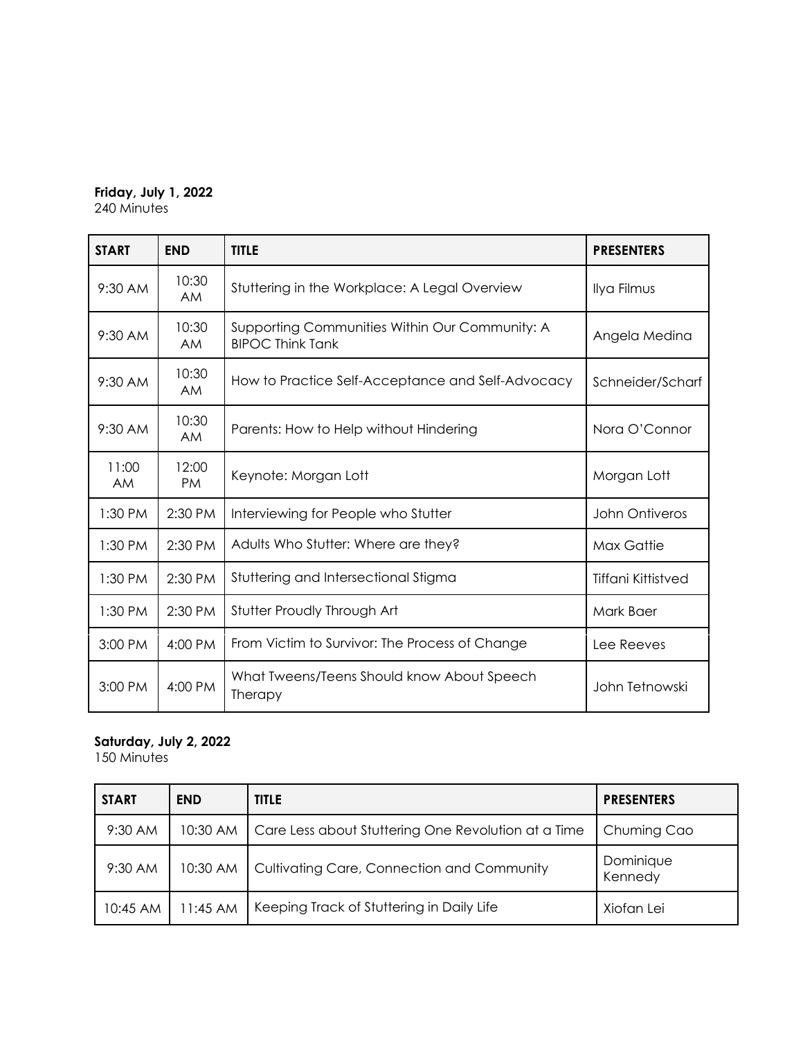# **Friday, July 1, 2022**

240 Minutes

| <b>START</b>       | <b>END</b>         | <b>TITLE</b>                                                              | <b>PRESENTERS</b>         |
|--------------------|--------------------|---------------------------------------------------------------------------|---------------------------|
| 9:30 AM            | 10:30<br><b>AM</b> | Stuttering in the Workplace: A Legal Overview                             | Ilya Filmus               |
| 9:30 AM            | 10:30<br><b>AM</b> | Supporting Communities Within Our Community: A<br><b>BIPOC Think Tank</b> | Angela Medina             |
| 9:30 AM            | 10:30<br><b>AM</b> | How to Practice Self-Acceptance and Self-Advocacy                         | Schneider/Scharf          |
| 9:30 AM            | 10:30<br><b>AM</b> | Parents: How to Help without Hindering                                    | Nora O'Connor             |
| 11:00<br><b>AM</b> | 12:00<br>PM        | Keynote: Morgan Lott                                                      | Morgan Lott               |
| 1:30 PM            | 2:30 PM            | Interviewing for People who Stutter                                       | John Ontiveros            |
| 1:30 PM            | 2:30 PM            | Adults Who Stutter: Where are they?                                       | Max Gattie                |
| 1:30 PM            | 2:30 PM            | Stuttering and Intersectional Stigma                                      | <b>Tiffani Kittistved</b> |
| 1:30 PM            | 2:30 PM            | Stutter Proudly Through Art                                               | Mark Baer                 |
| 3:00 PM            | 4:00 PM            | From Victim to Survivor: The Process of Change                            | Lee Reeves                |
| 3:00 PM            | 4:00 PM            | What Tweens/Teens Should know About Speech<br>Therapy                     | John Tetnowski            |

### **Saturday, July 2, 2022**

150 Minutes

| <b>START</b> | <b>END</b> | <b>TITLE</b>                                        | <b>PRESENTERS</b>    |
|--------------|------------|-----------------------------------------------------|----------------------|
| 9:30 AM      | 10:30 AM   | Care Less about Stuttering One Revolution at a Time | Chuming Cao          |
| 9:30 AM      | 10:30 AM   | Cultivating Care, Connection and Community          | Dominique<br>Kennedy |
| 10:45 AM     | $11:45$ AM | Keeping Track of Stuttering in Daily Life           | Xiofan Lei           |